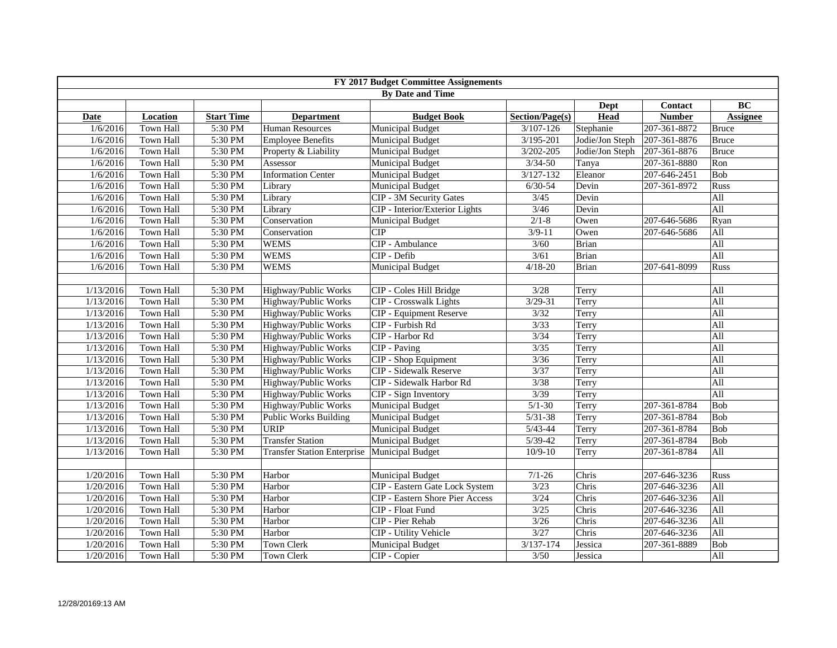| FY 2017 Budget Committee Assignements |                         |                   |                                    |                                        |                 |                 |                |                 |
|---------------------------------------|-------------------------|-------------------|------------------------------------|----------------------------------------|-----------------|-----------------|----------------|-----------------|
|                                       | <b>By Date and Time</b> |                   |                                    |                                        |                 |                 |                |                 |
|                                       |                         |                   |                                    |                                        |                 | Dept            | <b>Contact</b> | <b>BC</b>       |
| Date                                  | <b>Location</b>         | <b>Start Time</b> | <b>Department</b>                  | <b>Budget Book</b>                     | Section/Page(s) | Head            | <b>Number</b>  | <b>Assignee</b> |
| 1/6/2016                              | Town Hall               | 5:30 PM           | <b>Human Resources</b>             | <b>Municipal Budget</b>                | $3/107 - 126$   | Stephanie       | 207-361-8872   | <b>Bruce</b>    |
| 1/6/2016                              | <b>Town Hall</b>        | 5:30 PM           | <b>Employee Benefits</b>           | <b>Municipal Budget</b>                | 3/195-201       | Jodie/Jon Steph | 207-361-8876   | <b>Bruce</b>    |
| 1/6/2016                              | <b>Town Hall</b>        | 5:30 PM           | Property & Liability               | <b>Municipal Budget</b>                | $3/202 - 205$   | Jodie/Jon Steph | 207-361-8876   | <b>Bruce</b>    |
| 1/6/2016                              | Town Hall               | 5:30 PM           | Assessor                           | <b>Municipal Budget</b>                | $3/34 - 50$     | Tanya           | 207-361-8880   | Ron             |
| 1/6/2016                              | Town Hall               | 5:30 PM           | <b>Information Center</b>          | <b>Municipal Budget</b>                | $3/127 - 132$   | Eleanor         | 207-646-2451   | Bob             |
| 1/6/2016                              | <b>Town Hall</b>        | 5:30 PM           | Library                            | <b>Municipal Budget</b>                | $6/30 - 54$     | Devin           | 207-361-8972   | Russ            |
| 1/6/2016                              | <b>Town Hall</b>        | 5:30 PM           | Library                            | <b>CIP - 3M Security Gates</b>         | 3/45            | Devin           |                | All             |
| 1/6/2016                              | <b>Town Hall</b>        | 5:30 PM           | Library                            | CIP - Interior/Exterior Lights         | $3/46$          | Devin           |                | All             |
| 1/6/2016                              | <b>Town Hall</b>        | 5:30 PM           | Conservation                       | <b>Municipal Budget</b>                | $2/1 - 8$       | Owen            | 207-646-5686   | Ryan            |
| 1/6/2016                              | <b>Town Hall</b>        | 5:30 PM           | Conservation                       | <b>CIP</b>                             | $3/9 - 11$      | Owen            | 207-646-5686   | All             |
| 1/6/2016                              | <b>Town Hall</b>        | 5:30 PM           | <b>WEMS</b>                        | CIP - Ambulance                        | 3/60            | <b>Brian</b>    |                | All             |
| 1/6/2016                              | Town Hall               | 5:30 PM           | <b>WEMS</b>                        | CIP - Defib                            | 3/61            | <b>Brian</b>    |                | All             |
| 1/6/2016                              | Town Hall               | 5:30 PM           | <b>WEMS</b>                        | <b>Municipal Budget</b>                | $4/18 - 20$     | Brian           | 207-641-8099   | Russ            |
|                                       |                         |                   |                                    |                                        |                 |                 |                |                 |
| 1/13/2016                             | <b>Town Hall</b>        | 5:30 PM           | Highway/Public Works               | CIP - Coles Hill Bridge                | 3/28            | Terry           |                | All             |
| 1/13/2016                             | <b>Town Hall</b>        | 5:30 PM           | Highway/Public Works               | <b>CIP</b> - Crosswalk Lights          | $3/29 - 31$     | Terry           |                | All             |
| 1/13/2016                             | Town Hall               | 5:30 PM           | Highway/Public Works               | <b>CIP</b> - Equipment Reserve         | 3/32            | Terry           |                | All             |
| 1/13/2016                             | <b>Town Hall</b>        | 5:30 PM           | Highway/Public Works               | CIP - Furbish Rd                       | 3/33            | Terry           |                | All             |
| 1/13/2016                             | <b>Town Hall</b>        | 5:30 PM           | Highway/Public Works               | CIP - Harbor Rd                        | 3/34            | Terry           |                | All             |
| 1/13/2016                             | <b>Town Hall</b>        | 5:30 PM           | Highway/Public Works               | CIP - Paving                           | 3/35            | Terry           |                | All             |
| 1/13/2016                             | Town Hall               | 5:30 PM           | Highway/Public Works               | CIP - Shop Equipment                   | 3/36            | Terry           |                | All             |
| 1/13/2016                             | <b>Town Hall</b>        | 5:30 PM           | Highway/Public Works               | <b>CIP</b> - Sidewalk Reserve          | 3/37            | Terry           |                | All             |
| 1/13/2016                             | Town Hall               | 5:30 PM           | Highway/Public Works               | CIP - Sidewalk Harbor Rd               | 3/38            | Terry           |                | All             |
| 1/13/2016                             | <b>Town Hall</b>        | 5:30 PM           | Highway/Public Works               | CIP - Sign Inventory                   | 3/39            | Terry           |                | All             |
| 1/13/2016                             | <b>Town Hall</b>        | 5:30 PM           | Highway/Public Works               | <b>Municipal Budget</b>                | $5/1 - 30$      | Terry           | 207-361-8784   | Bob             |
| 1/13/2016                             | Town Hall               | 5:30 PM           | <b>Public Works Building</b>       | <b>Municipal Budget</b>                | $5/31 - 38$     | Terry           | 207-361-8784   | Bob             |
| 1/13/2016                             | Town Hall               | 5:30 PM           | <b>URIP</b>                        | <b>Municipal Budget</b>                | $5/43 - 44$     | Terry           | 207-361-8784   | Bob             |
| 1/13/2016                             | Town Hall               | 5:30 PM           | <b>Transfer Station</b>            | <b>Municipal Budget</b>                | $5/39-42$       | Terry           | 207-361-8784   | Bob             |
| 1/13/2016                             | Town Hall               | 5:30 PM           | <b>Transfer Station Enterprise</b> | <b>Municipal Budget</b>                | $10/9 - 10$     | Terry           | 207-361-8784   | All             |
|                                       |                         |                   |                                    |                                        |                 |                 |                |                 |
| 1/20/2016                             | Town Hall               | 5:30 PM           | Harbor                             | <b>Municipal Budget</b>                | $7/1 - 26$      | Chris           | 207-646-3236   | Russ            |
| 1/20/2016                             | Town Hall               | 5:30 PM           | Harbor                             | <b>CIP</b> - Eastern Gate Lock System  | 3/23            | Chris           | 207-646-3236   | All             |
| 1/20/2016                             | Town Hall               | 5:30 PM           | Harbor                             | <b>CIP</b> - Eastern Shore Pier Access | 3/24            | Chris           | 207-646-3236   | All             |
| 1/20/2016                             | Town Hall               | 5:30 PM           | Harbor                             | CIP - Float Fund                       | 3/25            | Chris           | 207-646-3236   | All             |
| 1/20/2016                             | Town Hall               | 5:30 PM           | Harbor                             | CIP - Pier Rehab                       | 3/26            | Chris           | 207-646-3236   | All             |
| 1/20/2016                             | Town Hall               | 5:30 PM           | Harbor                             | <b>CIP</b> - Utility Vehicle           | 3/27            | Chris           | 207-646-3236   | All             |
| 1/20/2016                             | Town Hall               | 5:30 PM           | <b>Town Clerk</b>                  | <b>Municipal Budget</b>                | 3/137-174       | Jessica         | 207-361-8889   | Bob             |
| 1/20/2016                             | Town Hall               | 5:30 PM           | Town Clerk                         | CIP - Copier                           | 3/50            | Jessica         |                | All             |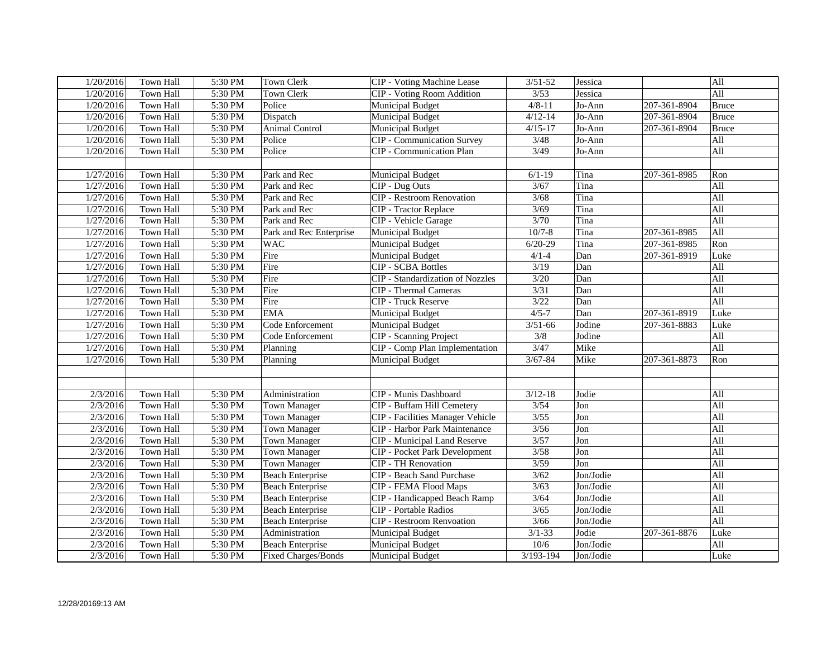| 1/20/2016 | Town Hall | 5:30 PM | <b>Town Clerk</b>          | <b>CIP</b> - Voting Machine Lease       | $3/51 - 52$ | Jessica   |              | All          |
|-----------|-----------|---------|----------------------------|-----------------------------------------|-------------|-----------|--------------|--------------|
| 1/20/2016 | Town Hall | 5:30 PM | <b>Town Clerk</b>          | <b>CIP</b> - Voting Room Addition       | 3/53        | Jessica   |              | All          |
| 1/20/2016 | Town Hall | 5:30 PM | Police                     | <b>Municipal Budget</b>                 | $4/8 - 11$  | Jo-Ann    | 207-361-8904 | <b>Bruce</b> |
| 1/20/2016 | Town Hall | 5:30 PM | Dispatch                   | <b>Municipal Budget</b>                 | $4/12 - 14$ | Jo-Ann    | 207-361-8904 | <b>Bruce</b> |
| 1/20/2016 | Town Hall | 5:30 PM | <b>Animal Control</b>      | Municipal Budget                        | $4/15 - 17$ | Jo-Ann    | 207-361-8904 | <b>Bruce</b> |
| 1/20/2016 | Town Hall | 5:30 PM | Police                     | <b>CIP</b> - Communication Survey       | 3/48        | Jo-Ann    |              | All          |
| 1/20/2016 | Town Hall | 5:30 PM | Police                     | <b>CIP</b> - Communication Plan         | 3/49        | Jo-Ann    |              | All          |
|           |           |         |                            |                                         |             |           |              |              |
| 1/27/2016 | Town Hall | 5:30 PM | Park and Rec               | <b>Municipal Budget</b>                 | $6/1-19$    | Tina      | 207-361-8985 | Ron          |
| 1/27/2016 | Town Hall | 5:30 PM | Park and Rec               | CIP - Dug Outs                          | 3/67        | Tina      |              | All          |
| 1/27/2016 | Town Hall | 5:30 PM | Park and Rec               | <b>CIP</b> - Restroom Renovation        | 3/68        | Tina      |              | All          |
| 1/27/2016 | Town Hall | 5:30 PM | Park and Rec               | <b>CIP</b> - Tractor Replace            | 3/69        | Tina      |              | All          |
| 1/27/2016 | Town Hall | 5:30 PM | Park and Rec               | CIP - Vehicle Garage                    | 3/70        | Tina      |              | All          |
| 1/27/2016 | Town Hall | 5:30 PM | Park and Rec Enterprise    | <b>Municipal Budget</b>                 | $10/7 - 8$  | Tina      | 207-361-8985 | All          |
| 1/27/2016 | Town Hall | 5:30 PM | <b>WAC</b>                 | <b>Municipal Budget</b>                 | $6/20-29$   | Tina      | 207-361-8985 | Ron          |
| 1/27/2016 | Town Hall | 5:30 PM | Fire                       | <b>Municipal Budget</b>                 | $4/1 - 4$   | Dan       | 207-361-8919 | Luke         |
| 1/27/2016 | Town Hall | 5:30 PM | Fire                       | <b>CIP - SCBA Bottles</b>               | 3/19        | Dan       |              | All          |
| 1/27/2016 | Town Hall | 5:30 PM | Fire                       | <b>CIP</b> - Standardization of Nozzles | 3/20        | Dan       |              | All          |
| 1/27/2016 | Town Hall | 5:30 PM | Fire                       | <b>CIP</b> - Thermal Cameras            | 3/31        | Dan       |              | All          |
| 1/27/2016 | Town Hall | 5:30 PM | Fire                       | <b>CIP</b> - Truck Reserve              | 3/22        | Dan       |              | All          |
| 1/27/2016 | Town Hall | 5:30 PM | EMA                        | <b>Municipal Budget</b>                 | $4/5 - 7$   | Dan       | 207-361-8919 | Luke         |
| 1/27/2016 | Town Hall | 5:30 PM | Code Enforcement           | <b>Municipal Budget</b>                 | $3/51 - 66$ | Jodine    | 207-361-8883 | Luke         |
| 1/27/2016 | Town Hall | 5:30 PM | Code Enforcement           | <b>CIP</b> - Scanning Project           | 3/8         | Jodine    |              | All          |
| 1/27/2016 | Town Hall | 5:30 PM | Planning                   | CIP - Comp Plan Implementation          | 3/47        | Mike      |              | All          |
| 1/27/2016 | Town Hall | 5:30 PM | Planning                   | <b>Municipal Budget</b>                 | $3/67 - 84$ | Mike      | 207-361-8873 | Ron          |
|           |           |         |                            |                                         |             |           |              |              |
|           |           |         |                            |                                         |             |           |              |              |
| 2/3/2016  | Town Hall | 5:30 PM | Administration             | CIP - Munis Dashboard                   | $3/12 - 18$ | Jodie     |              | All          |
| 2/3/2016  | Town Hall | 5:30 PM | <b>Town Manager</b>        | CIP - Buffam Hill Cemetery              | 3/54        | Jon       |              | All          |
| 2/3/2016  | Town Hall | 5:30 PM | <b>Town Manager</b>        | <b>CIP</b> - Facilities Manager Vehicle | 3/55        | Jon       |              | All          |
| 2/3/2016  | Town Hall | 5:30 PM | Town Manager               | <b>CIP</b> - Harbor Park Maintenance    | $3/56$      | Jon       |              | All          |
| 2/3/2016  | Town Hall | 5:30 PM | <b>Town Manager</b>        | <b>CIP</b> - Municipal Land Reserve     | 3/57        | Jon       |              | All          |
| 2/3/2016  | Town Hall | 5:30 PM | <b>Town Manager</b>        | <b>CIP</b> - Pocket Park Development    | 3/58        | Jon       |              | All          |
| 2/3/2016  | Town Hall | 5:30 PM | <b>Town Manager</b>        | <b>CIP - TH Renovation</b>              | 3/59        | Jon       |              | All          |
| 2/3/2016  | Town Hall | 5:30 PM | <b>Beach Enterprise</b>    | <b>CIP - Beach Sand Purchase</b>        | 3/62        | Jon/Jodie |              | All          |
| 2/3/2016  | Town Hall | 5:30 PM | <b>Beach Enterprise</b>    | <b>CIP - FEMA Flood Maps</b>            | 3/63        | Jon/Jodie |              | All          |
| 2/3/2016  | Town Hall | 5:30 PM | <b>Beach Enterprise</b>    | CIP - Handicapped Beach Ramp            | 3/64        | Jon/Jodie |              | All          |
| 2/3/2016  | Town Hall | 5:30 PM | <b>Beach Enterprise</b>    | <b>CIP</b> - Portable Radios            | 3/65        | Jon/Jodie |              | All          |
| 2/3/2016  | Town Hall | 5:30 PM | <b>Beach Enterprise</b>    | <b>CIP - Restroom Renvoation</b>        | 3/66        | Jon/Jodie |              | All          |
| 2/3/2016  | Town Hall | 5:30 PM | Administration             | <b>Municipal Budget</b>                 | $3/1 - 33$  | Jodie     | 207-361-8876 | Luke         |
| 2/3/2016  | Town Hall | 5:30 PM | <b>Beach Enterprise</b>    | <b>Municipal Budget</b>                 | 10/6        | Jon/Jodie |              | All          |
| 2/3/2016  | Town Hall | 5:30 PM | <b>Fixed Charges/Bonds</b> | <b>Municipal Budget</b>                 | 3/193-194   | Jon/Jodie |              | Luke         |